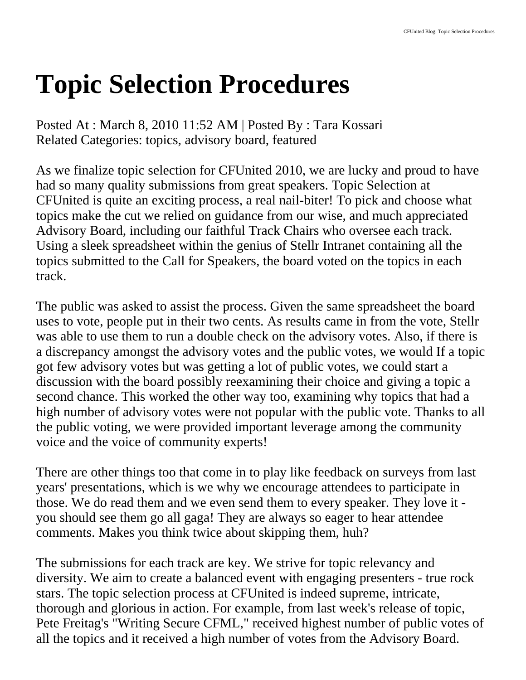## **Topic Selection Procedures**

Posted At : March 8, 2010 11:52 AM | Posted By : Tara Kossari Related Categories: topics, advisory board, featured

As we finalize topic selection for CFUnited 2010, we are lucky and proud to have had so many quality submissions from great speakers. Topic Selection at CFUnited is quite an exciting process, a real nail-biter! To pick and choose what topics make the cut we relied on guidance from our wise, and much appreciated Advisory Board, including our faithful Track Chairs who oversee each track. Using a sleek spreadsheet within the genius of Stellr Intranet containing all the topics submitted to the Call for Speakers, the board voted on the topics in each track.

The public was asked to assist the process. Given the same spreadsheet the board uses to vote, people put in their two cents. As results came in from the vote, Stellr was able to use them to run a double check on the advisory votes. Also, if there is a discrepancy amongst the advisory votes and the public votes, we would If a topic got few advisory votes but was getting a lot of public votes, we could start a discussion with the board possibly reexamining their choice and giving a topic a second chance. This worked the other way too, examining why topics that had a high number of advisory votes were not popular with the public vote. Thanks to all the public voting, we were provided important leverage among the community voice and the voice of community experts!

There are other things too that come in to play like feedback on surveys from last years' presentations, which is we why we encourage attendees to participate in those. We do read them and we even send them to every speaker. They love it you should see them go all gaga! They are always so eager to hear attendee comments. Makes you think twice about skipping them, huh?

The submissions for each track are key. We strive for topic relevancy and diversity. We aim to create a balanced event with engaging presenters - true rock stars. The topic selection process at CFUnited is indeed supreme, intricate, thorough and glorious in action. For example, from last week's release of topic, Pete Freitag's "Writing Secure CFML," received highest number of public votes of all the topics and it received a high number of votes from the Advisory Board.